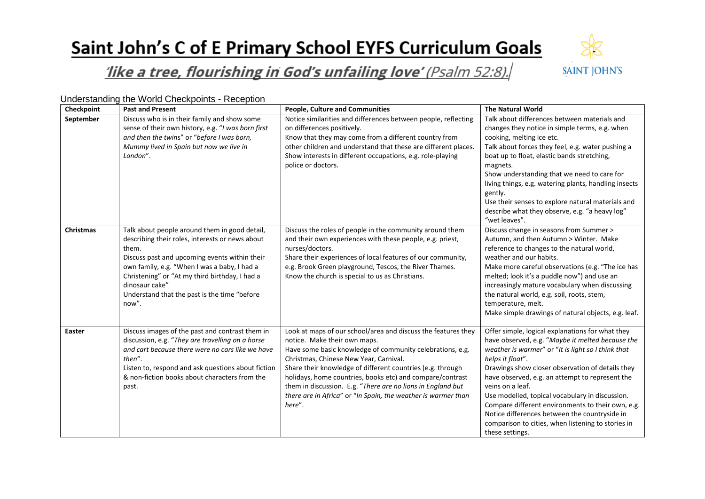## Saint John's C of E Primary School EYFS Curriculum Goals



## like a tree, flourishing in God's unfailing love' (Psalm 52:8).

Understanding the World Checkpoints - Reception

| Checkpoint       | <b>Past and Present</b>                                                                                                                                                                                                                                                                                                                 | <b>People, Culture and Communities</b>                                                                                                                                                                                                                                                                                                                                                                                                                                    | <b>The Natural World</b>                                                                                                                                                                                                                                                                                                                                                                                                                                                                                                                    |
|------------------|-----------------------------------------------------------------------------------------------------------------------------------------------------------------------------------------------------------------------------------------------------------------------------------------------------------------------------------------|---------------------------------------------------------------------------------------------------------------------------------------------------------------------------------------------------------------------------------------------------------------------------------------------------------------------------------------------------------------------------------------------------------------------------------------------------------------------------|---------------------------------------------------------------------------------------------------------------------------------------------------------------------------------------------------------------------------------------------------------------------------------------------------------------------------------------------------------------------------------------------------------------------------------------------------------------------------------------------------------------------------------------------|
| September        | Discuss who is in their family and show some<br>sense of their own history, e.g. "I was born first<br>and then the twins" or "before I was born,<br>Mummy lived in Spain but now we live in<br>London".                                                                                                                                 | Notice similarities and differences between people, reflecting<br>on differences positively.<br>Know that they may come from a different country from<br>other children and understand that these are different places.<br>Show interests in different occupations, e.g. role-playing<br>police or doctors.                                                                                                                                                               | Talk about differences between materials and<br>changes they notice in simple terms, e.g. when<br>cooking, melting ice etc.<br>Talk about forces they feel, e.g. water pushing a<br>boat up to float, elastic bands stretching,<br>magnets.<br>Show understanding that we need to care for<br>living things, e.g. watering plants, handling insects<br>gently.<br>Use their senses to explore natural materials and<br>describe what they observe, e.g. "a heavy log"<br>"wet leaves".                                                      |
| <b>Christmas</b> | Talk about people around them in good detail,<br>describing their roles, interests or news about<br>them.<br>Discuss past and upcoming events within their<br>own family, e.g. "When I was a baby, I had a<br>Christening" or "At my third birthday, I had a<br>dinosaur cake"<br>Understand that the past is the time "before<br>now". | Discuss the roles of people in the community around them<br>and their own experiences with these people, e.g. priest,<br>nurses/doctors.<br>Share their experiences of local features of our community,<br>e.g. Brook Green playground, Tescos, the River Thames.<br>Know the church is special to us as Christians.                                                                                                                                                      | Discuss change in seasons from Summer ><br>Autumn, and then Autumn > Winter. Make<br>reference to changes to the natural world,<br>weather and our habits.<br>Make more careful observations (e.g. "The ice has<br>melted; look it's a puddle now") and use an<br>increasingly mature vocabulary when discussing<br>the natural world, e.g. soil, roots, stem,<br>temperature, melt.<br>Make simple drawings of natural objects, e.g. leaf.                                                                                                 |
| <b>Easter</b>    | Discuss images of the past and contrast them in<br>discussion, e.g. "They are travelling on a horse<br>and cart because there were no cars like we have<br>then".<br>Listen to, respond and ask questions about fiction<br>& non-fiction books about characters from the<br>past.                                                       | Look at maps of our school/area and discuss the features they<br>notice. Make their own maps.<br>Have some basic knowledge of community celebrations, e.g.<br>Christmas, Chinese New Year, Carnival.<br>Share their knowledge of different countries (e.g. through<br>holidays, home countries, books etc) and compare/contrast<br>them in discussion. E.g. "There are no lions in England but<br>there are in Africa" or "In Spain, the weather is warmer than<br>here". | Offer simple, logical explanations for what they<br>have observed, e.g. "Maybe it melted because the<br>weather is warmer" or "It is light so I think that<br>helps it float".<br>Drawings show closer observation of details they<br>have observed, e.g. an attempt to represent the<br>veins on a leaf.<br>Use modelled, topical vocabulary in discussion.<br>Compare different environments to their own, e.g.<br>Notice differences between the countryside in<br>comparison to cities, when listening to stories in<br>these settings. |